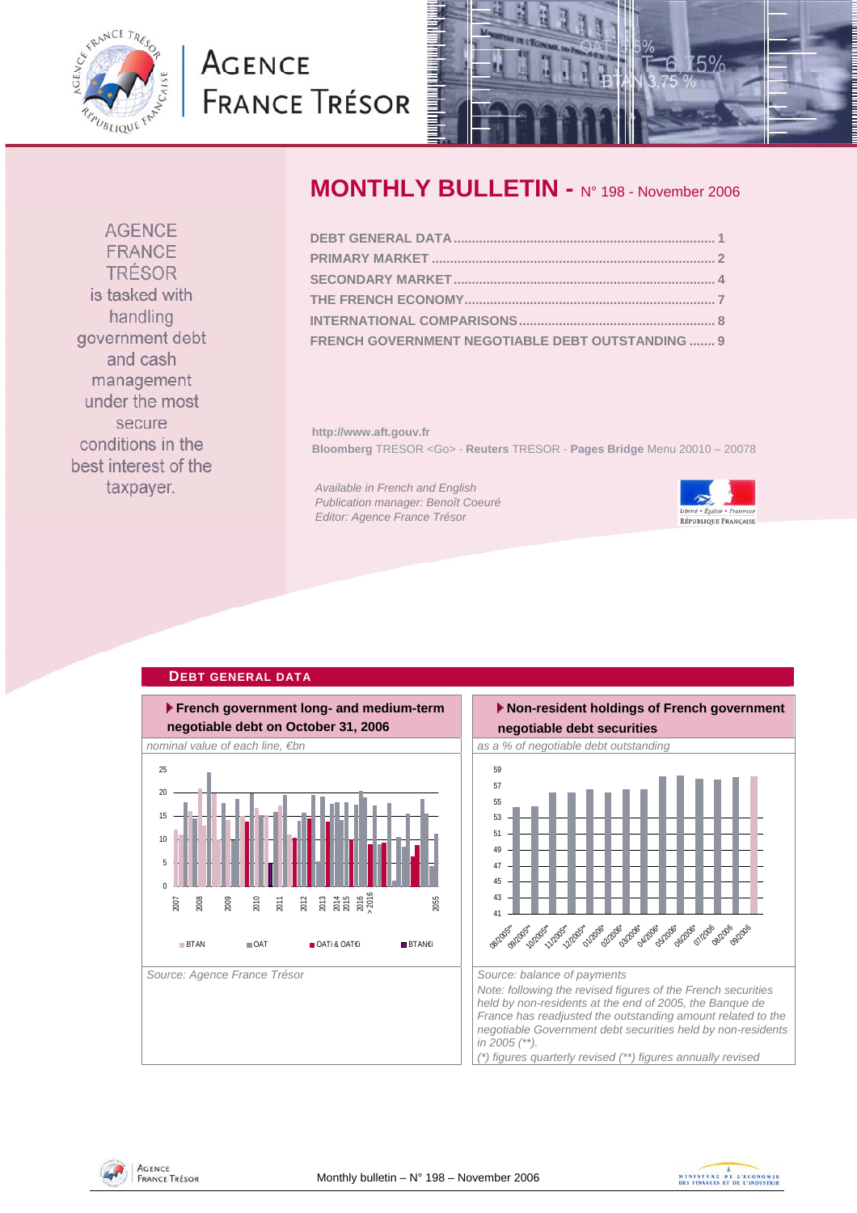<span id="page-0-0"></span>

# **AGENCE FRANCE TRÉSOR**



## **MONTHLY BULLETIN -** N° 198 - November 2006

| FRENCH GOVERNMENT NEGOTIABLE DEBT OUTSTANDING  9 |  |
|--------------------------------------------------|--|

**http://www.aft.gouv.fr Bloomberg** TRESOR <Go> - **Reuters** TRESOR - **Pages Bridge** Menu 20010 – 20078

*Available in French and English Publication manager: Benoît Coeuré Editor: Agence France Trésor* 



### **DEBT GENERAL DATA French government long- and medium-term negotiable debt on October 31, 2006** *nominal value of each line, €bn* as a % of negotiable debt outstanding as a % of negotiable debt outstanding Source: Agence France Trésor **Source: balance of payments** Source: balance of payments 0 5 10 15 20  $25 - 25$ 2007 2008 2009 2010 2011 2012 គ<br>ខេត្ត គ្គី<br>ខេត្ត គ្គី 2055 **BTAN OAT OATI&OATE**i BTAN€i



**AGENCE** FRANCE TRÉSOR is tasked with handling government debt and cash management under the most secure conditions in the best interest of the

taxpayer.

AGENCE **FRANCE TRÉSOR** 

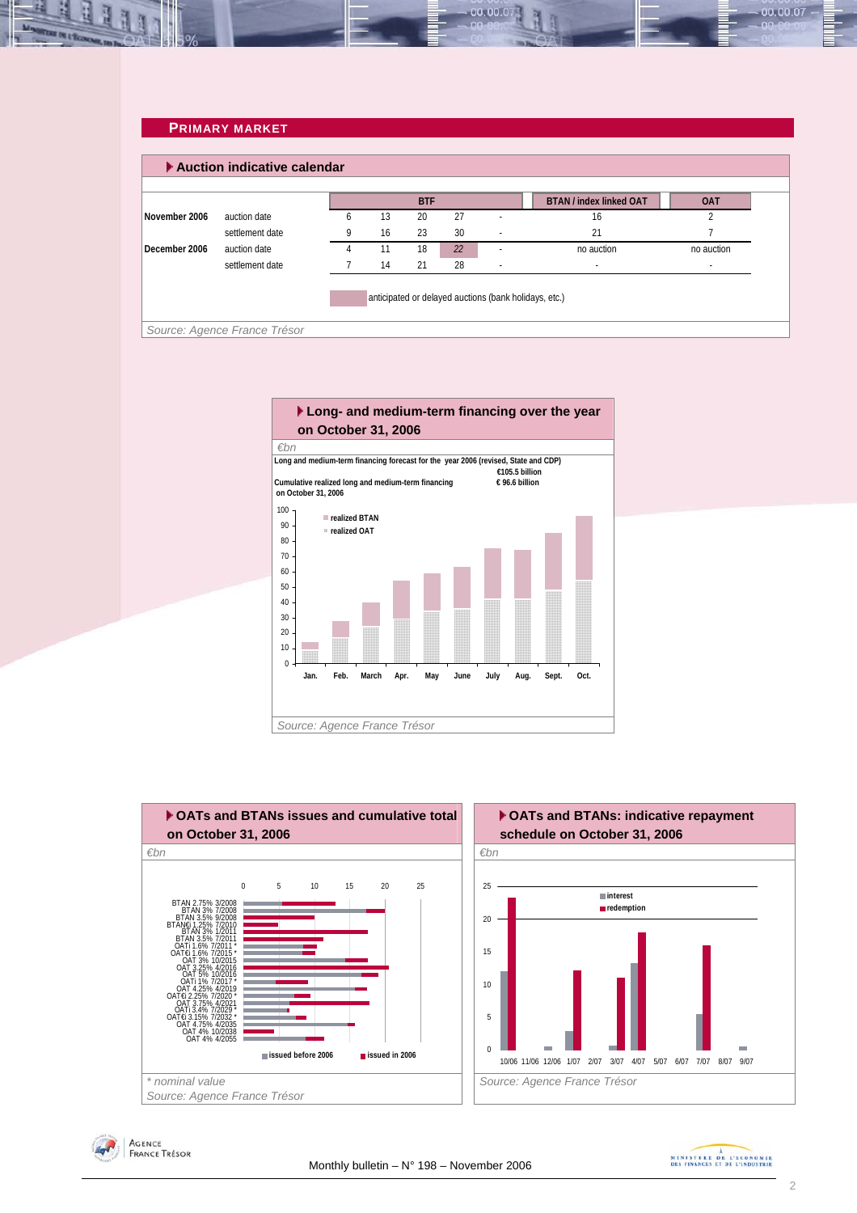### **PRIMARY MARKET**

<span id="page-1-0"></span>

|               | Auction indicative calendar |   |    |            |    |                          |                                |            |
|---------------|-----------------------------|---|----|------------|----|--------------------------|--------------------------------|------------|
|               |                             |   |    | <b>BTF</b> |    |                          | <b>BTAN / index linked OAT</b> | <b>OAT</b> |
| November 2006 | auction date                | 6 | 13 | 20         | 27 |                          | 16                             |            |
|               | settlement date             | 9 | 16 | 23         | 30 | $\overline{\phantom{a}}$ | 21                             |            |
| December 2006 | auction date                | 4 | 11 | 18         | 22 |                          | no auction                     | no auction |
|               | settlement date             |   | 14 | 21         | 28 | $\overline{\phantom{a}}$ | $\overline{\phantom{a}}$       |            |

00.00.0







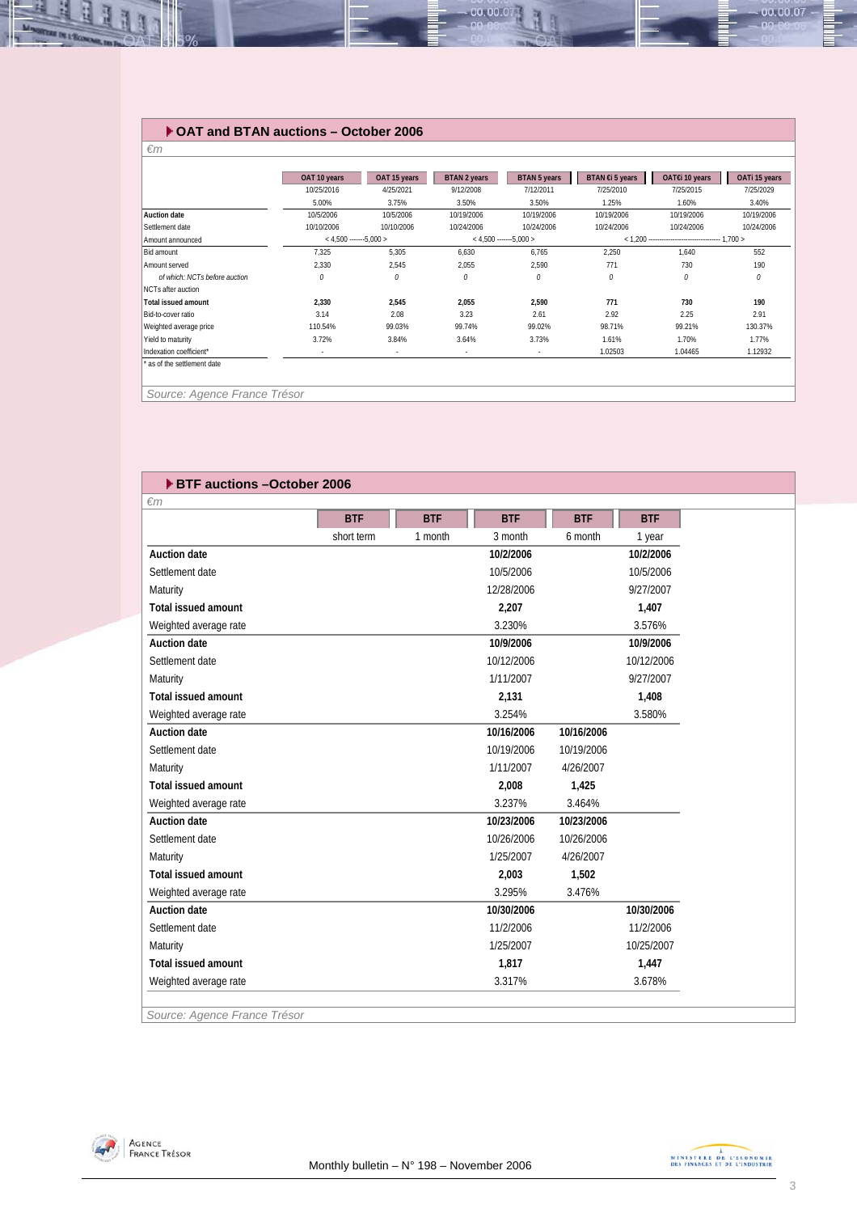### **OAT and BTAN auctions – October 2006**

| $\epsilon$ m                  |                          |              |                     |                          |                 |                |               |
|-------------------------------|--------------------------|--------------|---------------------|--------------------------|-----------------|----------------|---------------|
|                               |                          |              |                     |                          |                 |                |               |
|                               | OAT 10 years             | OAT 15 years | <b>BTAN 2 years</b> | <b>BTAN 5 years</b>      | BTAN €i 5 years | OAT€i 10 years | OATi 15 years |
|                               | 10/25/2016               | 4/25/2021    | 9/12/2008           | 7/12/2011                | 7/25/2010       | 7/25/2015      | 7/25/2029     |
|                               | 5.00%                    | 3.75%        | 3.50%               | 3.50%                    | 1.25%           | 1.60%          | 3.40%         |
| <b>Auction date</b>           | 10/5/2006                | 10/5/2006    | 10/19/2006          | 10/19/2006               | 10/19/2006      | 10/19/2006     | 10/19/2006    |
| Settlement date               | 10/10/2006               | 10/10/2006   | 10/24/2006          | 10/24/2006               | 10/24/2006      | 10/24/2006     | 10/24/2006    |
| Amount announced              | $<$ 4.500 -------5.000 > |              |                     | $<$ 4,500 -------5,000 > |                 |                |               |
| Bid amount                    | 7.325                    | 5.305        | 6.630               | 6.765                    | 2,250           | 1.640          | 552           |
| Amount served                 | 2,330                    | 2,545        | 2,055               | 2,590                    | 771             | 730            | 190           |
| of which: NCTs before auction | 0                        | 0            | 0                   | 0                        | 0               | 0              | 0             |
| NCTs after auction            |                          |              |                     |                          |                 |                |               |
| <b>Total issued amount</b>    | 2,330                    | 2,545        | 2,055               | 2,590                    | 771             | 730            | 190           |
| Bid-to-cover ratio            | 3.14                     | 2.08         | 3.23                | 2.61                     | 2.92            | 2.25           | 2.91          |
| Weighted average price        | 110.54%                  | 99.03%       | 99.74%              | 99.02%                   | 98.71%          | 99.21%         | 130.37%       |
| Yield to maturity             | 3.72%                    | 3.84%        | 3.64%               | 3.73%                    | 1.61%           | 1.70%          | 1.77%         |
| Indexation coefficient*       | $\sim$                   | $\sim$       | $\sim$              | $\sim$                   | 1.02503         | 1.04465        | 1.12932       |

00.00.0

 *Source: Agence France Trésor* 

11

### **BTF auctions –October 2006**

| $\epsilon$ m               |            |            |            |            |            |
|----------------------------|------------|------------|------------|------------|------------|
|                            | <b>BTF</b> | <b>BTF</b> | <b>BTF</b> | <b>BTF</b> | <b>BTF</b> |
|                            | short term | 1 month    | 3 month    | 6 month    | 1 year     |
| <b>Auction date</b>        |            |            | 10/2/2006  |            | 10/2/2006  |
| Settlement date            |            |            | 10/5/2006  |            | 10/5/2006  |
| Maturity                   |            |            | 12/28/2006 |            | 9/27/2007  |
| <b>Total issued amount</b> |            |            | 2,207      |            | 1,407      |
| Weighted average rate      |            |            | 3.230%     |            | 3.576%     |
| <b>Auction date</b>        |            |            | 10/9/2006  |            | 10/9/2006  |
| Settlement date            |            |            | 10/12/2006 |            | 10/12/2006 |
| Maturity                   |            |            | 1/11/2007  |            | 9/27/2007  |
| <b>Total issued amount</b> |            |            | 2,131      |            | 1,408      |
| Weighted average rate      |            |            | 3.254%     |            | 3.580%     |
| <b>Auction date</b>        |            |            | 10/16/2006 | 10/16/2006 |            |
| Settlement date            |            |            | 10/19/2006 | 10/19/2006 |            |
| Maturity                   |            |            | 1/11/2007  | 4/26/2007  |            |
| <b>Total issued amount</b> |            |            | 2.008      | 1,425      |            |
| Weighted average rate      |            |            | 3.237%     | 3.464%     |            |
| <b>Auction date</b>        |            |            | 10/23/2006 | 10/23/2006 |            |
| Settlement date            |            |            | 10/26/2006 | 10/26/2006 |            |
| Maturity                   |            |            | 1/25/2007  | 4/26/2007  |            |
| <b>Total issued amount</b> |            |            | 2,003      | 1,502      |            |
| Weighted average rate      |            |            | 3.295%     | 3.476%     |            |
| <b>Auction date</b>        |            |            | 10/30/2006 |            | 10/30/2006 |
| Settlement date            |            |            | 11/2/2006  |            | 11/2/2006  |
| Maturity                   |            |            | 1/25/2007  |            | 10/25/2007 |
| <b>Total issued amount</b> |            |            | 1,817      |            | 1,447      |
| Weighted average rate      |            |            | 3.317%     |            | 3.678%     |
|                            |            |            |            |            |            |

*Source: Agence France Trésor* 



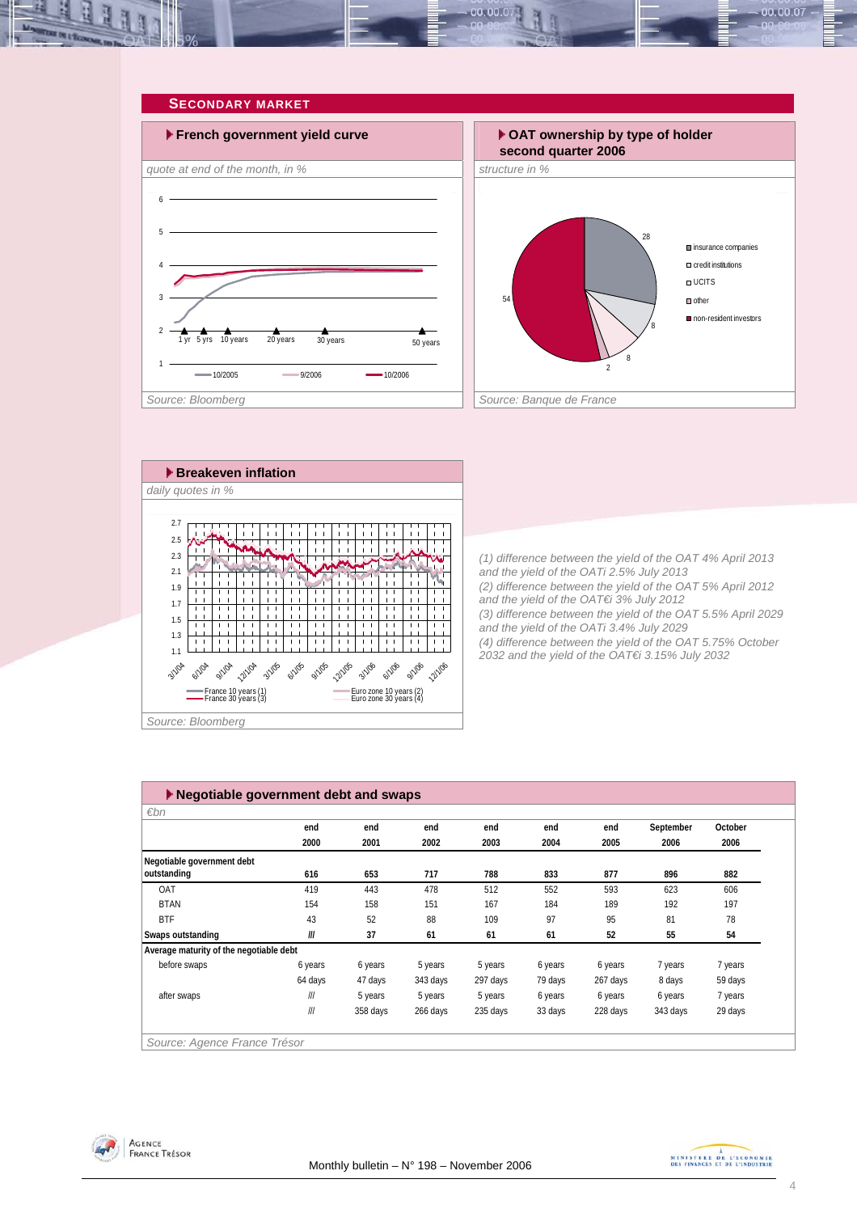<span id="page-3-0"></span>







*(1) difference between the yield of the OAT 4% April 2013 and the yield of the OATi 2.5% July 2013 (2) difference between the yield of the OAT 5% April 2012 and the yield of the OAT€i 3% July 2012 (3) difference between the yield of the OAT 5.5% April 2029 and the yield of the OATi 3.4% July 2029 (4) difference between the yield of the OAT 5.75% October 2032 and the yield of the OAT€i 3.15% July 2032* 

|  | Source: Bloomberg |
|--|-------------------|
|--|-------------------|

| ▶ Negotiable government debt and swaps  |         |          |          |          |         |          |           |         |
|-----------------------------------------|---------|----------|----------|----------|---------|----------|-----------|---------|
| $\varepsilon$ bn                        |         |          |          |          |         |          |           |         |
|                                         | end     | end      | end      | end      | end     | end      | September | October |
|                                         | 2000    | 2001     | 2002     | 2003     | 2004    | 2005     | 2006      | 2006    |
| Negotiable government debt              |         |          |          |          |         |          |           |         |
| outstanding                             | 616     | 653      | 717      | 788      | 833     | 877      | 896       | 882     |
| OAT                                     | 419     | 443      | 478      | 512      | 552     | 593      | 623       | 606     |
| <b>BTAN</b>                             | 154     | 158      | 151      | 167      | 184     | 189      | 192       | 197     |
| <b>BTF</b>                              | 43      | 52       | 88       | 109      | 97      | 95       | 81        | 78      |
| Swaps outstanding                       | III     | 37       | 61       | 61       | 61      | 52       | 55        | 54      |
| Average maturity of the negotiable debt |         |          |          |          |         |          |           |         |
| before swaps                            | 6 years | 6 years  | 5 years  | 5 years  | 6 years | 6 years  | 7 years   | 7 years |
|                                         | 64 days | 47 days  | 343 days | 297 days | 79 days | 267 days | 8 days    | 59 days |
| after swaps                             | III     | 5 years  | 5 years  | 5 years  | 6 years | 6 years  | 6 years   | 7 years |
|                                         | III     | 358 days | 266 days | 235 days | 33 days | 228 days | 343 days  | 29 days |



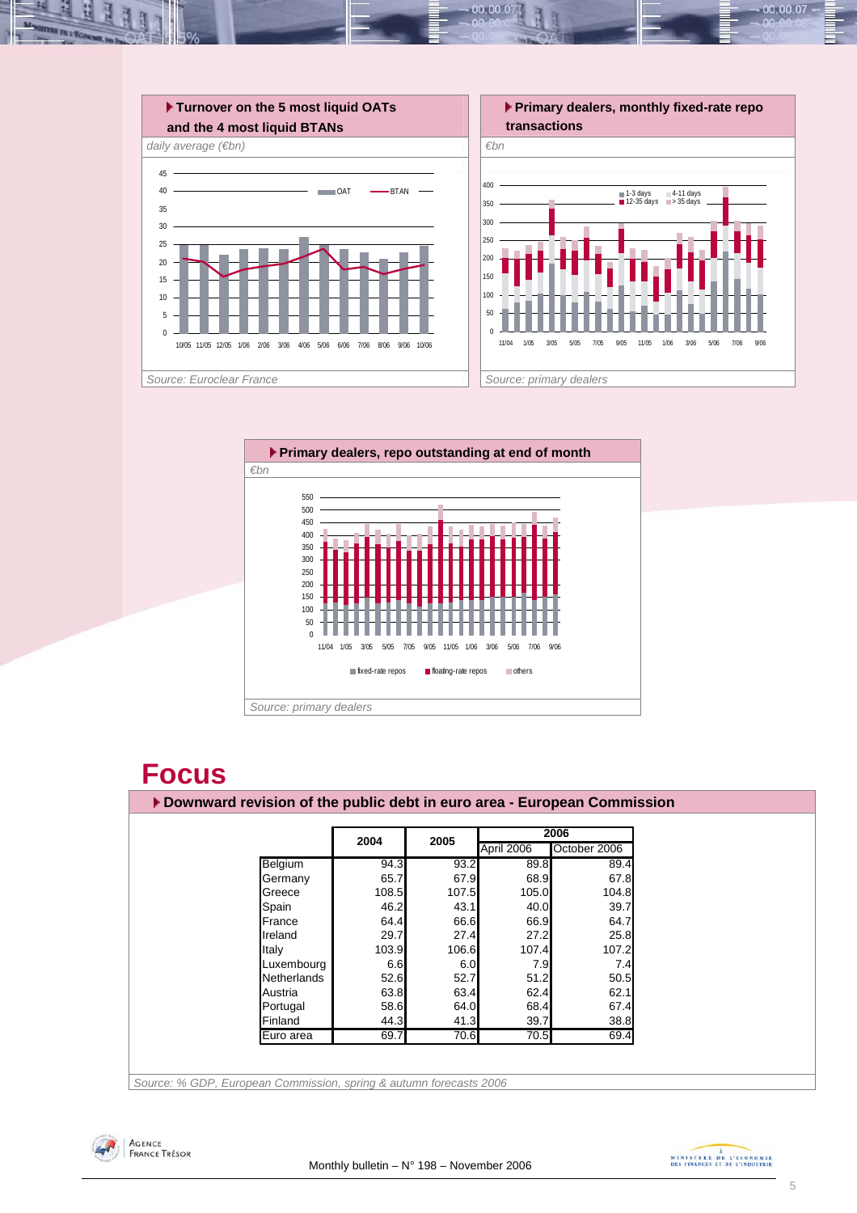



### **Focus**

### **Downward revision of the public debt in euro area - European Commission** *Source: % GDP, European Commission, spring & autumn forecasts 2006*  April 2006 October 2006 Belgium | 94.3 93.2 89.8 89.4 Germany 65.7 67.9 68.9 67.8 Greece 108.5 107.5 105.0 104.8<br>Spain 105.2 43.1 40.0 39.7 Spain **1 46.2** 43.1 40.0 39.7 France **64.4** 66.6 66.9 64.7 Ireland 29.7 27.4 27.2 25.8 Italy 103.9 106.6 107.4 107.2 Luxembourg 6.6 6.0 7.9 7.4 Netherlands 52.6 52.7 51.2 50.5 Austria 63.8 63.4 62.4 62.1 Portugal 1 58.6 64.0 68.4 67.4 Finland **1 44.3** 41.3 39.7 38.8 Euro area **69.7** 70.6 70.5 69.4 **<sup>2006</sup> <sup>2004</sup> <sup>2005</sup>**



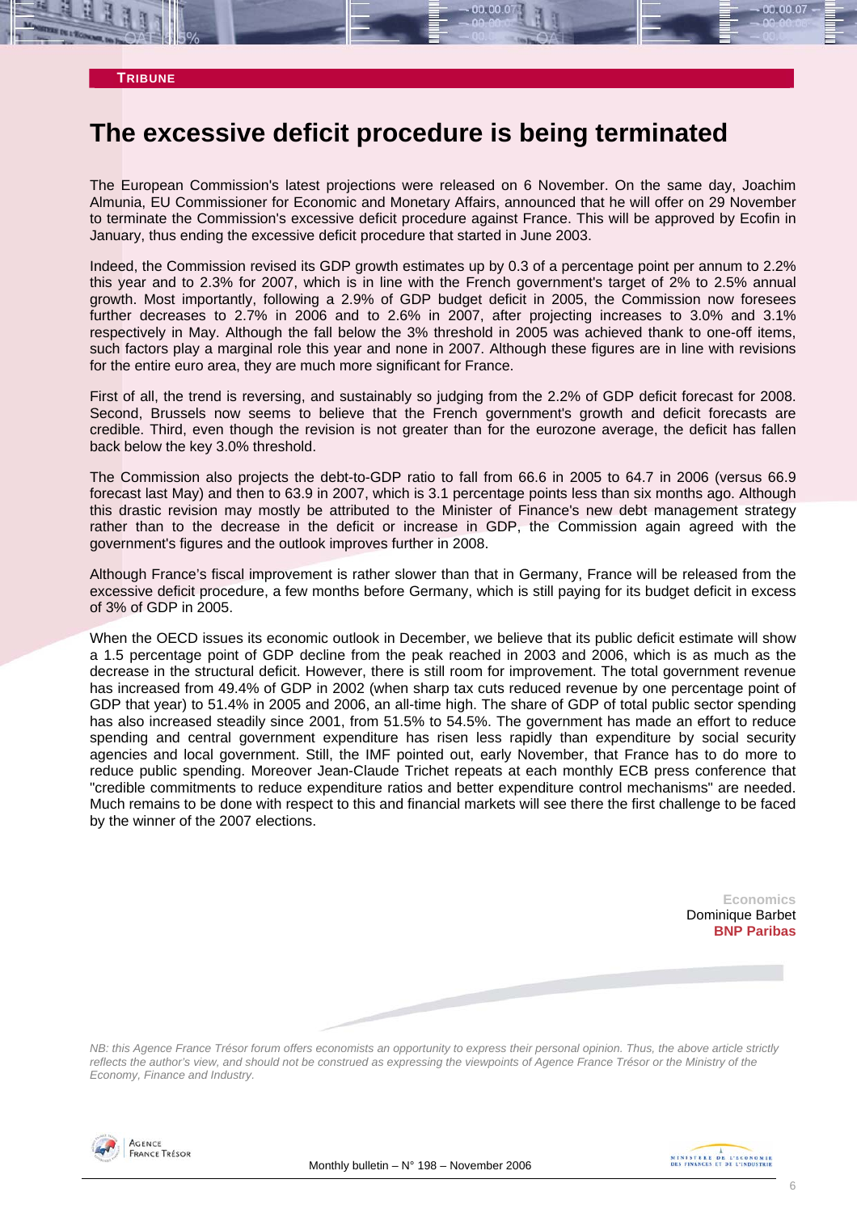### **The excessive deficit procedure is being terminated**

The European Commission's latest projections were released on 6 November. On the same day, Joachim Almunia, EU Commissioner for Economic and Monetary Affairs, announced that he will offer on 29 November to terminate the Commission's excessive deficit procedure against France. This will be approved by Ecofin in January, thus ending the excessive deficit procedure that started in June 2003.

Indeed, the Commission revised its GDP growth estimates up by 0.3 of a percentage point per annum to 2.2% this year and to 2.3% for 2007, which is in line with the French government's target of 2% to 2.5% annual growth. Most importantly, following a 2.9% of GDP budget deficit in 2005, the Commission now foresees further decreases to 2.7% in 2006 and to 2.6% in 2007, after projecting increases to 3.0% and 3.1% respectively in May. Although the fall below the 3% threshold in 2005 was achieved thank to one-off items, such factors play a marginal role this year and none in 2007. Although these figures are in line with revisions for the entire euro area, they are much more significant for France.

First of all, the trend is reversing, and sustainably so judging from the 2.2% of GDP deficit forecast for 2008. Second, Brussels now seems to believe that the French government's growth and deficit forecasts are credible. Third, even though the revision is not greater than for the eurozone average, the deficit has fallen back below the key 3.0% threshold.

The Commission also projects the debt-to-GDP ratio to fall from 66.6 in 2005 to 64.7 in 2006 (versus 66.9 forecast last May) and then to 63.9 in 2007, which is 3.1 percentage points less than six months ago. Although this drastic revision may mostly be attributed to the Minister of Finance's new debt management strategy rather than to the decrease in the deficit or increase in GDP, the Commission again agreed with the government's figures and the outlook improves further in 2008.

Although France's fiscal improvement is rather slower than that in Germany, France will be released from the excessive deficit procedure, a few months before Germany, which is still paying for its budget deficit in excess of 3% of GDP in 2005.

When the OECD issues its economic outlook in December, we believe that its public deficit estimate will show a 1.5 percentage point of GDP decline from the peak reached in 2003 and 2006, which is as much as the decrease in the structural deficit. However, there is still room for improvement. The total government revenue has increased from 49.4% of GDP in 2002 (when sharp tax cuts reduced revenue by one percentage point of GDP that year) to 51.4% in 2005 and 2006, an all-time high. The share of GDP of total public sector spending has also increased steadily since 2001, from 51.5% to 54.5%. The government has made an effort to reduce spending and central government expenditure has risen less rapidly than expenditure by social security agencies and local government. Still, the IMF pointed out, early November, that France has to do more to reduce public spending. Moreover Jean-Claude Trichet repeats at each monthly ECB press conference that "credible commitments to reduce expenditure ratios and better expenditure control mechanisms" are needed. Much remains to be done with respect to this and financial markets will see there the first challenge to be faced by the winner of the 2007 elections.

> **Economics**  Dominique Barbet **BNP Paribas**

*NB: this Agence France Trésor forum offers economists an opportunity to express their personal opinion. Thus, the above article strictly reflects the author's view, and should not be construed as expressing the viewpoints of Agence France Trésor or the Ministry of the Economy, Finance and Industry.* 



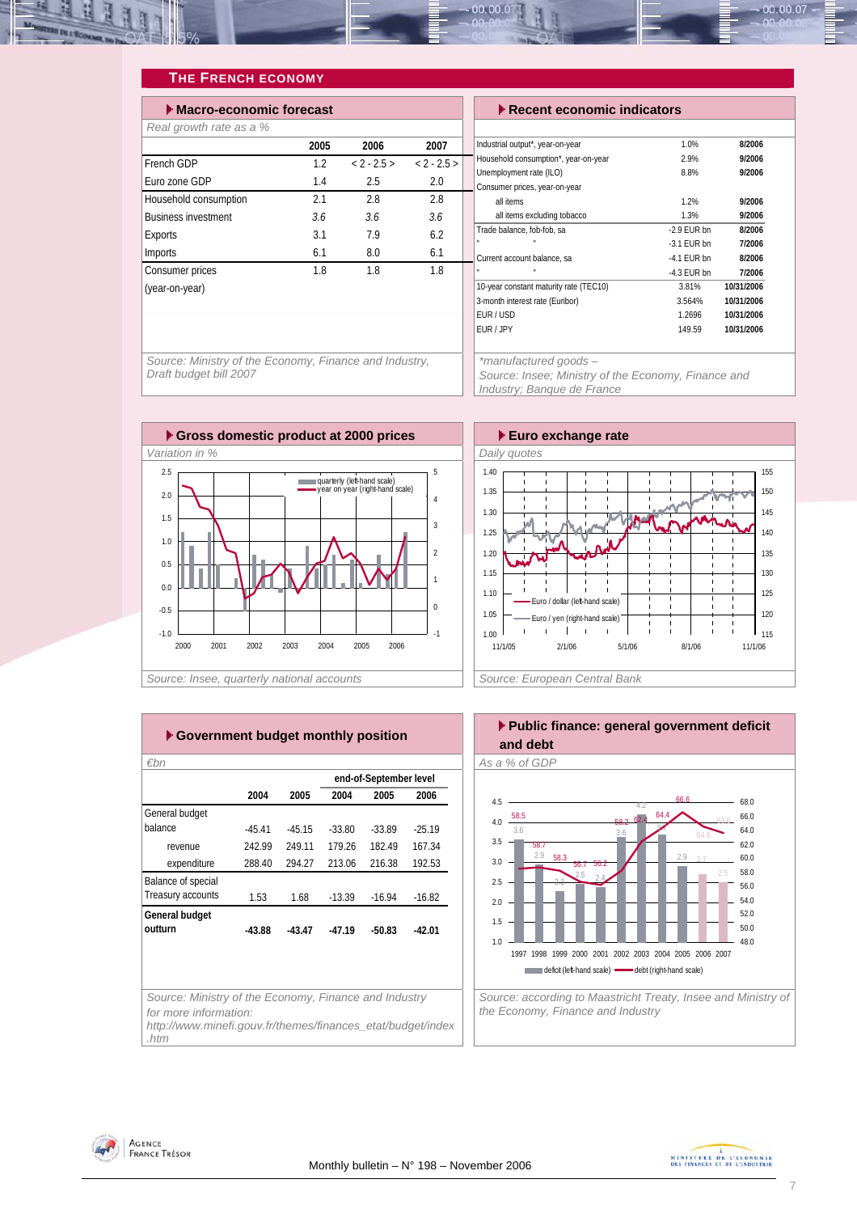<span id="page-6-0"></span>

### **THE FRENCH ECONOMY**

| Macro-economic forecast    |      |               | Recent economic indicators |                                                          |              |
|----------------------------|------|---------------|----------------------------|----------------------------------------------------------|--------------|
| Real growth rate as a %    |      |               |                            |                                                          |              |
|                            | 2005 | 2006          | 2007                       | Industrial output*, year-on-year                         |              |
| French GDP                 | 1.2  | $< 2 - 2.5 >$ | $< 2 - 2.5 >$              | Household consumption*, year-on-year                     |              |
| Euro zone GDP              | 1.4  | 2.5           | 2.0                        | Unemployment rate (ILO)<br>Consumer prices, year-on-year | 8            |
| Household consumption      | 2.1  | 2.8           | 2.8                        | all items                                                |              |
| <b>Business investment</b> | 3.6  | 3.6           | 3.6                        | all items excluding tobacco                              |              |
| Exports                    | 3.1  | 7.9           | 6.2                        | Trade balance, fob-fob, sa                               | $-2.9$       |
|                            |      |               |                            |                                                          | $-3.1$       |
| Imports                    | 6.1  | 8.0           | 6.1                        | Current account balance, sa                              | $-4.1$       |
| Consumer prices            | 1.8  | 1.8           | 1.8                        |                                                          | $-4.3$       |
| (year-on-year)             |      |               |                            | 10-year constant maturity rate (TEC10)                   | 3.           |
|                            |      |               |                            | 3-month interest rate (Euribor)                          | 3.5          |
|                            |      |               |                            | FUR/USD                                                  | $\mathbf{1}$ |

| $\blacktriangleright$ Recent economic indicators |               |            |
|--------------------------------------------------|---------------|------------|
|                                                  |               |            |
| Industrial output*, year-on-year                 | 1.0%          | 8/2006     |
| Household consumption*, year-on-year             | 2.9%          | 9/2006     |
| Unemployment rate (ILO)                          | 8.8%          | 9/2006     |
| Consumer prices, year-on-year                    |               |            |
| all items                                        | 1.2%          | 9/2006     |
| all items excluding tobacco                      | 1.3%          | 9/2006     |
| Trade balance, fob-fob, sa                       | $-2.9$ FUR bn | 8/2006     |
| m,<br>×                                          | $-3.1$ FUR bn | 7/2006     |
| Current account balance, sa                      | $-4.1$ FUR bn | 8/2006     |
|                                                  | $-4.3$ FUR bn | 7/2006     |
| 10-year constant maturity rate (TEC10)           | 3.81%         | 10/31/2006 |
| 3-month interest rate (Euribor)                  | 3.564%        | 10/31/2006 |
| FUR/USD                                          | 1.2696        | 10/31/2006 |
| FUR / JPY                                        | 149.59        | 10/31/2006 |
|                                                  |               |            |

*Source: Ministry of the Economy, Finance and Industry, Draft budget bill 2007* 

*\*manufactured goods –* 

*Source: Insee; Ministry of the Economy, Finance and Industry; Banque de France* 





| $\blacktriangleright$ Government budget monthly position                                                                                              |          |          |          |                        |          |
|-------------------------------------------------------------------------------------------------------------------------------------------------------|----------|----------|----------|------------------------|----------|
| €bn                                                                                                                                                   |          |          |          |                        |          |
|                                                                                                                                                       |          |          |          | end-of-September level |          |
|                                                                                                                                                       | 2004     | 2005     | 2004     | 2005                   | 2006     |
| General budget                                                                                                                                        |          |          |          |                        |          |
| balance                                                                                                                                               | $-45.41$ | $-4515$  | $-33.80$ | $-33.89$               | $-2519$  |
| revenue                                                                                                                                               | 242.99   | 249 11   | 179 26   | 18249                  | 167.34   |
| expenditure                                                                                                                                           | 288.40   | 294.27   | 213.06   | 216.38                 | 192.53   |
| Balance of special                                                                                                                                    |          |          |          |                        |          |
| Treasury accounts                                                                                                                                     | 1.53     | 1.68     | $-13.39$ | $-16.94$               | $-16.82$ |
| General budget<br>outturn                                                                                                                             | $-43.88$ | $-43.47$ | $-47.19$ | $-50.83$               | $-42.01$ |
| Source: Ministry of the Economy, Finance and Industry<br>for more information:<br>http://www.minefi.gouv.fr/themes/finances_etat/budget/index<br>.htm |          |          |          |                        |          |

**Public finance: general government deficit and debt**  *€bn As a % of GDP*  3.6 2.9 2.3 2.5 2.4 4.2 2.9 2.7  $\frac{3.6}{ }$ 58.3 63.6 66.6  $\frac{58.5}{58.2}$  62.4 64.4 58.7 56.7 56.2 58.2 2.5 3.0 3.5 4.0 4.5 56.0 58.0 60.0 62.0 64.0 66.0 68.0



*Source: according to Maastricht Treaty, Insee and Ministry of the Economy, Finance and Industry* 



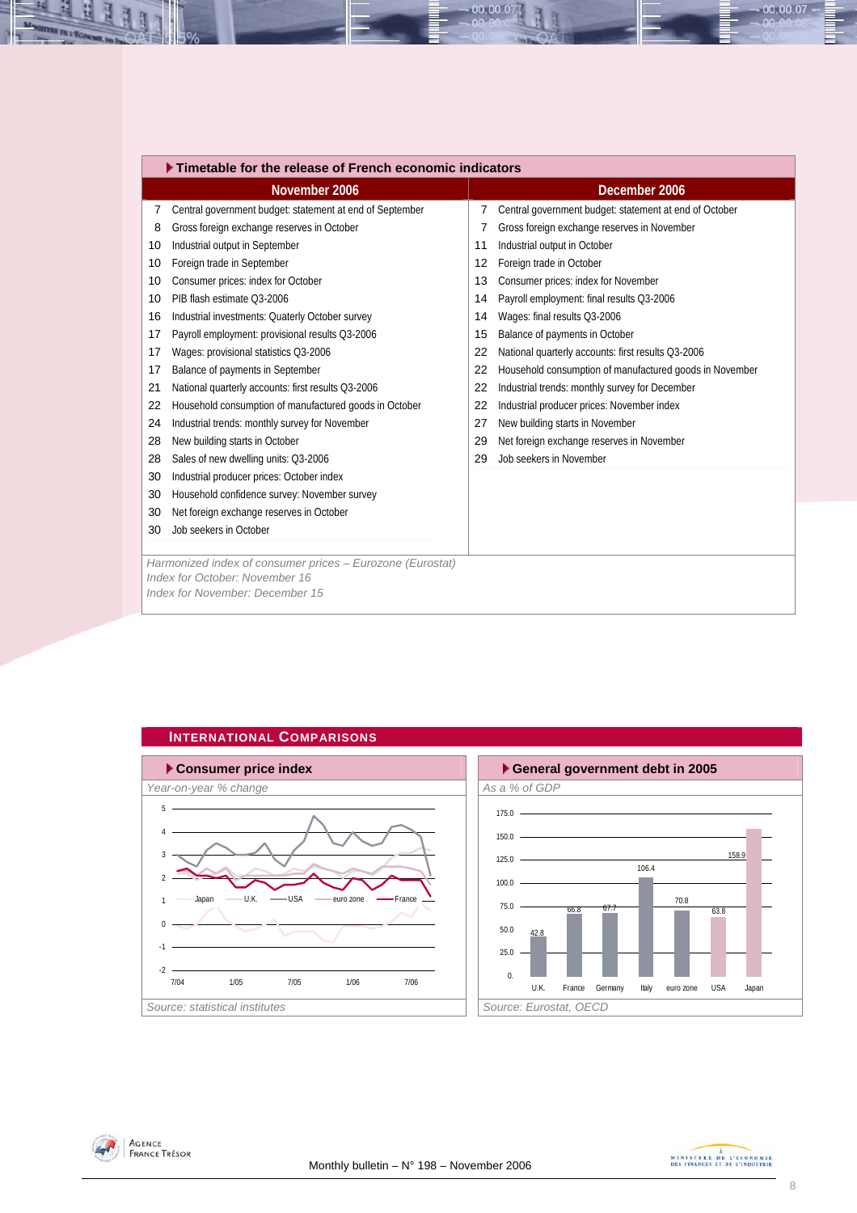<span id="page-7-0"></span>

|    | Timetable for the release of French economic indicators   |    |                                                         |  |  |  |  |  |  |
|----|-----------------------------------------------------------|----|---------------------------------------------------------|--|--|--|--|--|--|
|    | November 2006                                             |    | December 2006                                           |  |  |  |  |  |  |
| 7  | Central government budget: statement at end of September  |    | Central government budget: statement at end of October  |  |  |  |  |  |  |
| 8  | Gross foreign exchange reserves in October                |    | Gross foreign exchange reserves in November             |  |  |  |  |  |  |
| 10 | Industrial output in September                            | 11 | Industrial output in October                            |  |  |  |  |  |  |
| 10 | Foreign trade in September                                | 12 | Foreign trade in October                                |  |  |  |  |  |  |
| 10 | Consumer prices: index for October                        | 13 | Consumer prices: index for November                     |  |  |  |  |  |  |
| 10 | PIB flash estimate 03-2006                                | 14 | Payroll employment: final results Q3-2006               |  |  |  |  |  |  |
| 16 | Industrial investments: Quaterly October survey           | 14 | Wages: final results Q3-2006                            |  |  |  |  |  |  |
| 17 | Payroll employment: provisional results Q3-2006           | 15 | Balance of payments in October                          |  |  |  |  |  |  |
| 17 | Wages: provisional statistics Q3-2006                     | 22 | National quarterly accounts: first results Q3-2006      |  |  |  |  |  |  |
| 17 | Balance of payments in September                          | 22 | Household consumption of manufactured goods in November |  |  |  |  |  |  |
| 21 | National quarterly accounts: first results Q3-2006        | 22 | Industrial trends: monthly survey for December          |  |  |  |  |  |  |
| 22 | Household consumption of manufactured goods in October    | 22 | Industrial producer prices: November index              |  |  |  |  |  |  |
| 24 | Industrial trends: monthly survey for November            | 27 | New building starts in November                         |  |  |  |  |  |  |
| 28 | New building starts in October                            | 29 | Net foreign exchange reserves in November               |  |  |  |  |  |  |
| 28 | Sales of new dwelling units: Q3-2006                      | 29 | Job seekers in November                                 |  |  |  |  |  |  |
| 30 | Industrial producer prices: October index                 |    |                                                         |  |  |  |  |  |  |
| 30 | Household confidence survey: November survey              |    |                                                         |  |  |  |  |  |  |
| 30 | Net foreign exchange reserves in October                  |    |                                                         |  |  |  |  |  |  |
| 30 | Job seekers in October                                    |    |                                                         |  |  |  |  |  |  |
|    |                                                           |    |                                                         |  |  |  |  |  |  |
|    | Harmonized index of consumer prices - Eurozone (Eurostat) |    |                                                         |  |  |  |  |  |  |
|    | Index for October: November 16                            |    |                                                         |  |  |  |  |  |  |
|    | Index for November: December 15                           |    |                                                         |  |  |  |  |  |  |
|    |                                                           |    |                                                         |  |  |  |  |  |  |

00.00.0

### **INTERNATIONAL COMPARISONS**





Agence<br>France Trésor

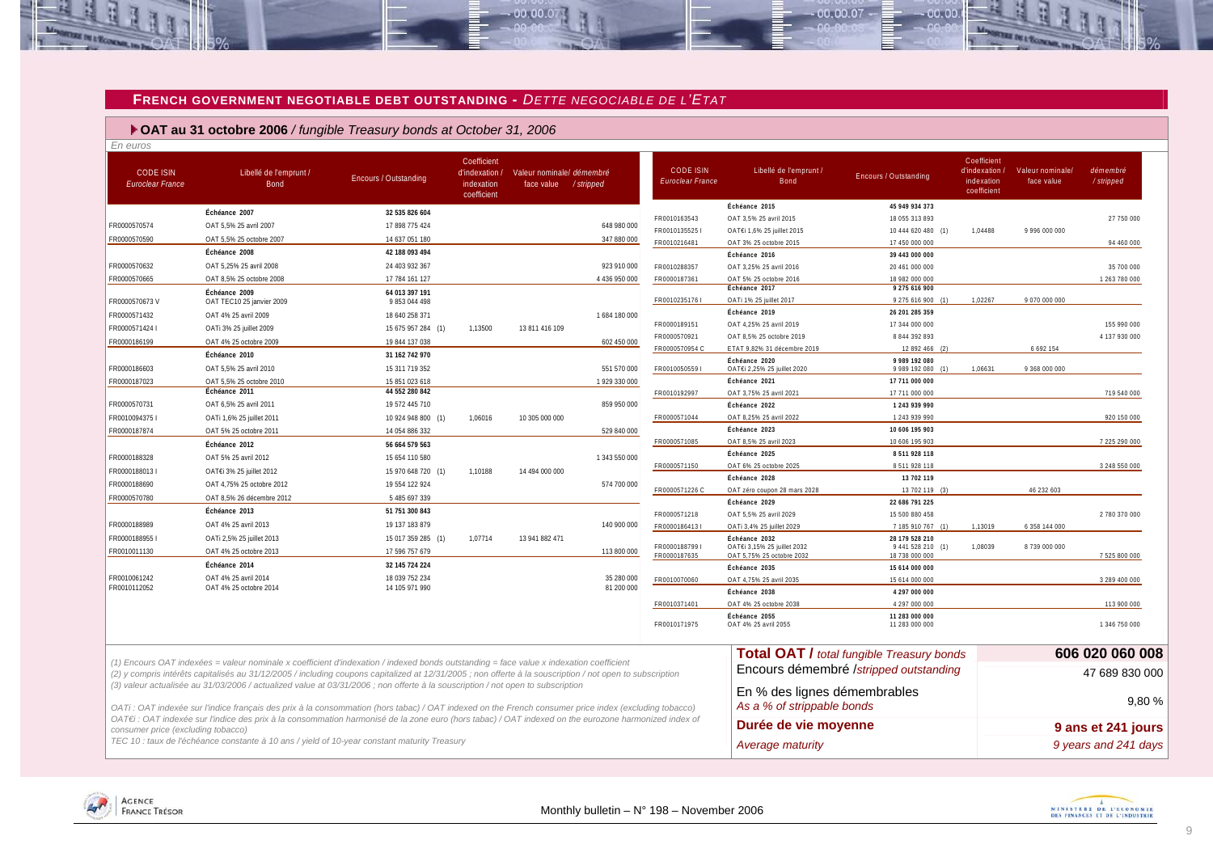#### **FRENCH GOVERNMENT NEGOTIABLE DEBT OUTSTANDING -** *DETTE NEGOCIABLE DE L'ETAT*

 $-00.00.07$ 

 **OAT au 31 octobre 2006** */ fungible Treasury bonds at October 31, 2006*

| En euros<br><b>CODE ISIN</b><br><b>Euroclear France</b> | Libellé de l'emprunt /<br><b>Bond</b>                                                                                                                                                                                                                                                                | Encours / Outstanding            | Coefficient<br>d'indexation /<br>indexation<br>coefficient | Valeur nominale/ démembré<br>face value / stripped |                          | <b>CODE ISIN</b><br>Euroclear France | Libellé de l'emprunt /<br><b>Bond</b>        | <b>Encours / Outstanding</b>                     | Coefficient<br>d'indexation /<br>indexation<br>coefficient | Valeur nominale/<br>face value | démembré<br>/stripped |
|---------------------------------------------------------|------------------------------------------------------------------------------------------------------------------------------------------------------------------------------------------------------------------------------------------------------------------------------------------------------|----------------------------------|------------------------------------------------------------|----------------------------------------------------|--------------------------|--------------------------------------|----------------------------------------------|--------------------------------------------------|------------------------------------------------------------|--------------------------------|-----------------------|
|                                                         | Échéance 2007                                                                                                                                                                                                                                                                                        | 32 535 826 604                   |                                                            |                                                    |                          |                                      | Échéance 2015                                | 45 949 934 373                                   |                                                            |                                |                       |
| FR0000570574                                            | OAT 5.5% 25 avril 2007                                                                                                                                                                                                                                                                               | 17 898 775 424                   |                                                            |                                                    | 648 980 000              | FR0010163543                         | OAT 3,5% 25 avril 2015                       | 18 055 313 893                                   |                                                            |                                | 27 750 000            |
| FR0000570590                                            | OAT 5,5% 25 octobre 2007                                                                                                                                                                                                                                                                             | 14 637 051 180                   |                                                            |                                                    | 347 880 000              | FR00101355251                        | OAT€i 1,6% 25 juillet 2015                   | 10 444 620 480 (1)                               | 1,04488                                                    | 9 996 000 000                  |                       |
|                                                         | Échéance 2008                                                                                                                                                                                                                                                                                        | 42 188 093 494                   |                                                            |                                                    |                          | FR0010216481                         | OAT 3% 25 octobre 2015                       | 17 450 000 000                                   |                                                            |                                | 94 460 000            |
| FR0000570632                                            | OAT 5,25% 25 avril 2008                                                                                                                                                                                                                                                                              | 24 403 932 367                   |                                                            |                                                    | 923 910 000              | FR0010288357                         | Échéance 2016<br>OAT 3,25% 25 avril 2016     | 39 443 000 000<br>20 461 000 000                 |                                                            |                                | 35 700 000            |
| FR0000570665                                            | OAT 8.5% 25 octobre 2008                                                                                                                                                                                                                                                                             | 17 784 161 127                   |                                                            |                                                    | 4 436 950 000            | FR0000187361                         | OAT 5% 25 octobre 2016                       | 18 982 000 000                                   |                                                            |                                | 1 263 780 000         |
|                                                         | Échéance 2009                                                                                                                                                                                                                                                                                        | 64 013 397 191                   |                                                            |                                                    |                          |                                      | Échéance 2017                                | 9 275 616 900                                    |                                                            |                                |                       |
| FR0000570673V                                           | OAT TEC10 25 janvier 2009                                                                                                                                                                                                                                                                            | 9 853 044 498                    |                                                            |                                                    |                          | FR00102351761                        | OATi 1% 25 juillet 2017                      | 9 275 616 900 (1)                                | 1,02267                                                    | 9 070 000 000                  |                       |
| FR0000571432                                            | OAT 4% 25 avril 2009                                                                                                                                                                                                                                                                                 | 18 640 258 371                   |                                                            |                                                    | 1684 180 000             |                                      | Échéance 2019                                | 26 201 285 359                                   |                                                            |                                |                       |
| FR0000571424 I                                          | OATi 3% 25 juillet 2009                                                                                                                                                                                                                                                                              | 15 675 957 284 (1)               | 1,13500                                                    | 13 811 416 109                                     |                          | FR0000189151                         | OAT 4,25% 25 avril 2019                      | 17 344 000 000                                   |                                                            |                                | 155 990 000           |
| FR0000186199                                            | OAT 4% 25 octobre 2009                                                                                                                                                                                                                                                                               | 19 844 137 038                   |                                                            |                                                    | 602 450 000              | FR0000570921                         | OAT 8.5% 25 octobre 2019                     | 8 8 4 4 3 9 2 8 9 3                              |                                                            |                                | 4 137 930 000         |
|                                                         | Échéance 2010                                                                                                                                                                                                                                                                                        | 31 162 742 970                   |                                                            |                                                    |                          | FR0000570954 C                       | ETAT 9,82% 31 décembre 2019                  | 12 892 466 (2)                                   |                                                            | 6 692 154                      |                       |
| FR0000186603                                            | OAT 5.5% 25 avril 2010                                                                                                                                                                                                                                                                               | 15 311 719 352                   |                                                            |                                                    | 551 570 000              | FR00100505591                        | Échéance 2020<br>OAT€i 2,25% 25 juillet 2020 | 9 9 8 9 1 9 2 0 8 0<br>9 989 192 080<br>(1)      | 1,06631                                                    | 9 368 000 000                  |                       |
| FR0000187023                                            | OAT 5,5% 25 octobre 2010                                                                                                                                                                                                                                                                             | 15 851 023 618                   |                                                            |                                                    | 1 929 330 000            |                                      | Échéance 2021                                | 17 711 000 000                                   |                                                            |                                |                       |
|                                                         | Échéance 2011                                                                                                                                                                                                                                                                                        | 44 552 280 842                   |                                                            |                                                    |                          | FR0010192997                         | OAT 3,75% 25 avril 2021                      | 17 711 000 000                                   |                                                            |                                | 719 540 000           |
| FR0000570731                                            | OAT 6,5% 25 avril 2011                                                                                                                                                                                                                                                                               | 19 572 445 710                   |                                                            |                                                    | 859 950 000              |                                      | Échéance 2022                                | 1 243 939 990                                    |                                                            |                                |                       |
| FR0010094375 I                                          | OATi 1,6% 25 juillet 2011                                                                                                                                                                                                                                                                            | 10 924 948 800 (1)               | 1,06016                                                    | 10 305 000 000                                     |                          | FR0000571044                         | OAT 8.25% 25 avril 2022                      | 1 243 939 990                                    |                                                            |                                | 920 150 000           |
| FR0000187874                                            | OAT 5% 25 octobre 2011                                                                                                                                                                                                                                                                               | 14 054 886 332                   |                                                            |                                                    | 529 840 000              |                                      | Échéance 2023                                | 10 606 195 903                                   |                                                            |                                |                       |
|                                                         | Échéance 2012                                                                                                                                                                                                                                                                                        | 56 664 579 563                   |                                                            |                                                    |                          | FR0000571085                         | OAT 8,5% 25 avril 2023                       | 10 606 195 903                                   |                                                            |                                | 7 225 290 000         |
| FR0000188328                                            | OAT 5% 25 avril 2012                                                                                                                                                                                                                                                                                 | 15 654 110 580                   |                                                            |                                                    | 1 343 550 000            |                                      | Échéance 2025                                | 8 5 1 9 2 8 1 1 8                                |                                                            |                                |                       |
| FR00001880131                                           | OAT€i 3% 25 juillet 2012                                                                                                                                                                                                                                                                             | 15 970 648 720 (1)               | 1,10188                                                    | 14 494 000 000                                     |                          | FR0000571150                         | OAT 6% 25 octobre 2025                       | 8 511 928 118                                    |                                                            |                                | 3 248 550 000         |
| FR0000188690                                            | OAT 4,75% 25 octobre 2012                                                                                                                                                                                                                                                                            | 19 554 122 924                   |                                                            |                                                    | 574 700 000              |                                      | Échéance 2028                                | 13 702 119                                       |                                                            |                                |                       |
| FR0000570780                                            | OAT 8,5% 26 décembre 2012                                                                                                                                                                                                                                                                            | 5 485 697 339                    |                                                            |                                                    |                          | FR0000571226 C                       | OAT zéro coupon 28 mars 2028                 | 13 702 119 (3)                                   |                                                            | 46 232 603                     |                       |
|                                                         | Échéance 2013                                                                                                                                                                                                                                                                                        | 51 751 300 843                   |                                                            |                                                    |                          | FR0000571218                         | Échéance 2029<br>OAT 5,5% 25 avril 2029      | 22 686 791 225<br>15 500 880 458                 |                                                            |                                |                       |
| FR0000188989                                            | OAT 4% 25 avril 2013                                                                                                                                                                                                                                                                                 | 19 137 183 879                   |                                                            |                                                    | 140 900 000              | FR00001864131                        | OATi 3,4% 25 juillet 2029                    | 7 185 910 767 (1)                                | 1,13019                                                    | 6 358 144 000                  | 2 780 370 000         |
| FR00001889551                                           | OATi 2,5% 25 juillet 2013                                                                                                                                                                                                                                                                            | 15 017 359 285 (1)               | 1,07714                                                    | 13 941 882 471                                     |                          |                                      | Échéance 2032                                | 28 179 528 210                                   |                                                            |                                |                       |
| FR0010011130                                            | OAT 4% 25 octobre 2013                                                                                                                                                                                                                                                                               | 17 596 757 679                   |                                                            |                                                    | 113 800 000              | FR0000188799 I                       | OAT€i 3,15% 25 juillet 2032                  | 9 441 528 210 (1)                                | 1,08039                                                    | 8 739 000 000                  |                       |
|                                                         | Échéance 2014                                                                                                                                                                                                                                                                                        | 32 145 724 224                   |                                                            |                                                    |                          | FR0000187635                         | OAT 5,75% 25 octobre 2032                    | 18 738 000 000                                   |                                                            |                                | 7 525 800 000         |
|                                                         |                                                                                                                                                                                                                                                                                                      |                                  |                                                            |                                                    |                          |                                      | Échéance 2035                                | 15 614 000 000                                   |                                                            |                                |                       |
| FR0010061242<br>FR0010112052                            | OAT 4% 25 avril 2014<br>OAT 4% 25 octobre 2014                                                                                                                                                                                                                                                       | 18 039 752 234<br>14 105 971 990 |                                                            |                                                    | 35 280 000<br>81 200 000 | FR0010070060                         | OAT 4,75% 25 avril 2035                      | 15 614 000 000                                   |                                                            |                                | 3 289 400 000         |
|                                                         |                                                                                                                                                                                                                                                                                                      |                                  |                                                            |                                                    |                          |                                      | Échéance 2038<br>OAT 4% 25 octobre 2038      | 4 297 000 000<br>4 297 000 000                   |                                                            |                                |                       |
|                                                         |                                                                                                                                                                                                                                                                                                      |                                  |                                                            |                                                    |                          | FR0010371401                         | Échéance 2055                                | 11 283 000 000                                   |                                                            |                                | 113 900 000           |
|                                                         |                                                                                                                                                                                                                                                                                                      |                                  |                                                            |                                                    |                          | FR0010171975                         | OAT 4% 25 avril 2055                         | 11 283 000 000                                   |                                                            |                                | 1 346 750 000         |
|                                                         |                                                                                                                                                                                                                                                                                                      |                                  |                                                            |                                                    |                          |                                      |                                              | <b>Total OAT / total fungible Treasury bonds</b> |                                                            |                                | 606 020 060 008       |
|                                                         | (1) Encours OAT indexées = valeur nominale x coefficient d'indexation / indexed bonds outstanding = face value x indexation coefficient<br>(2) y compris intérêts capitalisés au 31/12/2005 / including coupons capitalized at 12/31/2005 ; non offerte à la souscription / not open to subscription |                                  |                                                            |                                                    |                          |                                      |                                              | Encours démembré /stripped outstanding           |                                                            |                                | 47 689 830 000        |
|                                                         | (3) valeur actualisée au 31/03/2006 / actualized value at 03/31/2006 ; non offerte à la souscription / not open to subscription                                                                                                                                                                      |                                  |                                                            |                                                    |                          |                                      |                                              |                                                  |                                                            |                                |                       |
|                                                         |                                                                                                                                                                                                                                                                                                      |                                  |                                                            |                                                    |                          |                                      | En % des lignes démembrables                 |                                                  |                                                            |                                |                       |
|                                                         | OATi: OAT indexée sur l'indice français des prix à la consommation (hors tabac) / OAT indexed on the French consumer price index (excluding tobacco)                                                                                                                                                 |                                  |                                                            |                                                    |                          |                                      | As a % of strippable bonds                   |                                                  |                                                            |                                | 9,80 %                |
| consumer price (excluding tobacco)                      | OAT€i : OAT indexée sur l'indice des prix à la consommation harmonisé de la zone euro (hors tabac) / OAT indexed on the eurozone harmonized index of                                                                                                                                                 |                                  |                                                            |                                                    |                          |                                      | Durée de vie moyenne                         |                                                  |                                                            |                                | 9 ans et 241 jours    |
|                                                         | TEC 10 : taux de l'échéance constante à 10 ans / yield of 10-year constant maturity Treasury                                                                                                                                                                                                         |                                  |                                                            |                                                    |                          |                                      | Average maturity                             |                                                  |                                                            |                                | 9 years and 241 days  |

00.00.07

 $00.00$ 

<span id="page-8-0"></span>